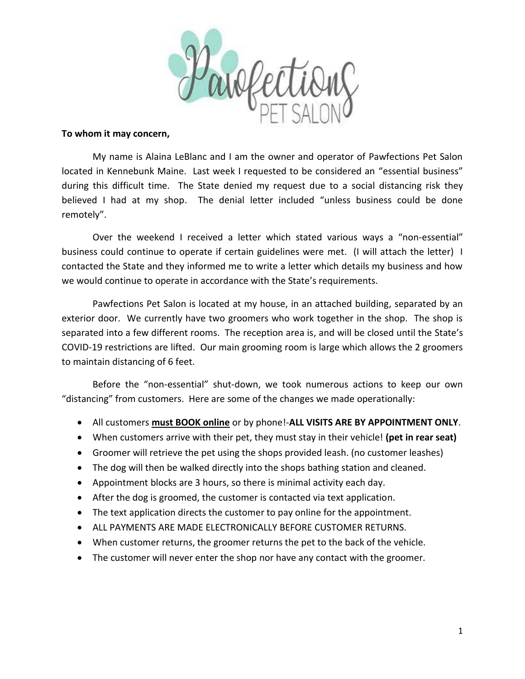

## **To whom it may concern,**

My name is Alaina LeBlanc and I am the owner and operator of Pawfections Pet Salon located in Kennebunk Maine. Last week I requested to be considered an "essential business" during this difficult time. The State denied my request due to a social distancing risk they believed I had at my shop. The denial letter included "unless business could be done remotely".

Over the weekend I received a letter which stated various ways a "non-essential" business could continue to operate if certain guidelines were met. (I will attach the letter) I contacted the State and they informed me to write a letter which details my business and how we would continue to operate in accordance with the State's requirements.

Pawfections Pet Salon is located at my house, in an attached building, separated by an exterior door. We currently have two groomers who work together in the shop. The shop is separated into a few different rooms. The reception area is, and will be closed until the State's COVID-19 restrictions are lifted. Our main grooming room is large which allows the 2 groomers to maintain distancing of 6 feet.

Before the "non-essential" shut-down, we took numerous actions to keep our own "distancing" from customers. Here are some of the changes we made operationally:

- x All customers **must BOOK online** or by phone!-**ALL VISITS ARE BY APPOINTMENT ONLY**.
- When customers arrive with their pet, they must stay in their vehicle! (pet in rear seat)
- Groomer will retrieve the pet using the shops provided leash. (no customer leashes)
- $\bullet$  The dog will then be walked directly into the shops bathing station and cleaned.
- Appointment blocks are 3 hours, so there is minimal activity each day.
- $\bullet$  After the dog is groomed, the customer is contacted via text application.
- The text application directs the customer to pay online for the appointment.
- **ALL PAYMENTS ARE MADE ELECTRONICALLY BEFORE CUSTOMER RETURNS.**
- When customer returns, the groomer returns the pet to the back of the vehicle.
- $\bullet$  The customer will never enter the shop nor have any contact with the groomer.